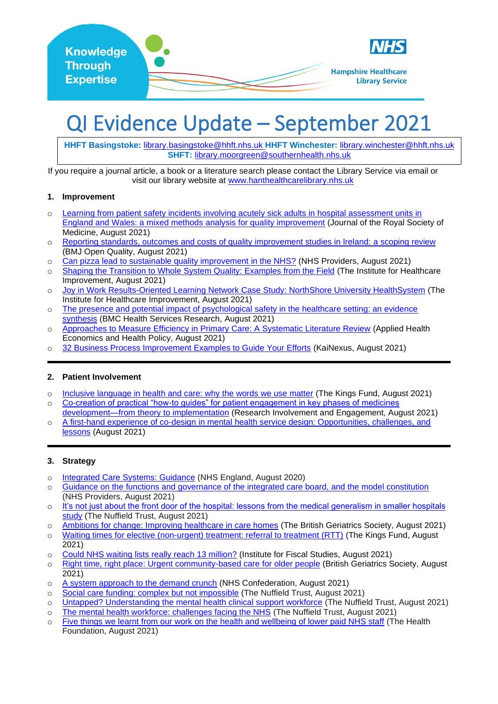

# QI Evidence Update – September 2021

**HHFT Basingstoke:** [library.basingstoke@hhft.nhs.uk](mailto:library.basingstoke@hhft.nhs.uk) **HHFT Winchester:** [library.winchester@hhft.nhs.uk](mailto:library.winchester@hhft.nhs.uk) **SHFT:** [library.moorgreen@southernhealth.nhs.uk](mailto:library.moorgreen@southernhealth.nhs.uk)

If you require a journal article, a book or a literature search please contact the Library Service via email or visit our library website at [www.hanthealthcarelibrary.nhs.uk](http://www.hanthealthcarelibrary.nhs.uk/)

### **1. Improvement**

- o [Learning from patient safety incidents involving acutely sick adults in hospital assessment units in](https://journals.sagepub.com/doi/full/10.1177/01410768211032589)  [England and Wales: a mixed methods analysis for quality improvement](https://journals.sagepub.com/doi/full/10.1177/01410768211032589) (Journal of the Royal Society of Medicine, August 2021)
- o [Reporting standards, outcomes and costs of quality improvement studies in Ireland: a scoping review](https://bmjopenquality.bmj.com/content/bmjqir/10/3/e001319.full.pdf) (BMJ Open Quality, August 2021)
- o [Can pizza lead to sustainable quality improvement in the NHS?](https://nhsproviders.org/news-blogs/blogs/can-pizza-lead-to-sustainable-quality-improvement-in-the-nhs) (NHS Providers, August 2021)
- o [Shaping the Transition to Whole System Quality: Examples from the Field](http://www.ihi.org/communities/blogs/shaping-the-transition-to-whole-system-quality-examples-from-the-field) (The Institute for Healthcare Improvement, August 2021)
- o [Joy in Work Results-Oriented Learning Network Case Study: NorthShore University HealthSystem](http://www.ihi.org/Engage/collaboratives/joy-results/Documents/IHI_Joy-in-Work-ROLN_Case-Study_NorthShore-University-HealthSystem.pdf) (The Institute for Healthcare Improvement, August 2021)
- o [The presence and potential impact of psychological safety in the healthcare setting: an evidence](https://bmchealthservres.biomedcentral.com/articles/10.1186/s12913-021-06740-6)  [synthesis](https://bmchealthservres.biomedcentral.com/articles/10.1186/s12913-021-06740-6) (BMC Health Services Research, August 2021)
- o [Approaches to Measure Efficiency in Primary Care: A Systematic Literature Review](https://www.ncbi.nlm.nih.gov/pmc/articles/PMC8337146/) (Applied Health Economics and Health Policy, August 2021)
- o [32 Business Process Improvement Examples to Guide Your Efforts](https://blog.kainexus.com/continuous-improvement/business-process-improvement/24-business-process-improvement-examples-to-prime-the-pump) (KaiNexus, August 2021)

### **2. Patient Involvement**

- o [Inclusive language in health and care: why the words we use matter](https://www.kingsfund.org.uk/blog/2021/08/inclusive-language-health-and-care) (The Kings Fund, August 2021)
- o [Co-creation of practical "how-to guides" for patient engagement in key phases of medicines](https://researchinvolvement.biomedcentral.com/track/pdf/10.1186/s40900-021-00294-x.pdf)
- [development—from theory to implementation](https://researchinvolvement.biomedcentral.com/track/pdf/10.1186/s40900-021-00294-x.pdf) (Research Involvement and Engagement, August 2021) o [A first-hand experience of co-design in mental health service design: Opportunities, challenges, and](https://onlinelibrary.wiley.com/doi/full/10.1111/inm.12925)  [lessons](https://onlinelibrary.wiley.com/doi/full/10.1111/inm.12925) (August 2021)

### **3. Strategy**

- o [Integrated Care Systems: Guidance](https://www.england.nhs.uk/publication/integrated-care-systems-guidance/) (NHS England, August 2020)
- o [Guidance on the functions and governance of the integrated care board, and the model constitution](https://nhsproviders.org/media/691943/nhs-providers-next-day-briefing-integrated-care-board-governance-final.pdf) (NHS Providers, August 2021)
- o [It's not just about the front door of the hospital: lessons from the medical generalism in smaller hospitals](https://www.nuffieldtrust.org.uk/news-item/it-s-not-just-about-the-front-door-of-the-hospital-lessons-from-the-medical-generalism-in-smaller-hospitals-study)  [study](https://www.nuffieldtrust.org.uk/news-item/it-s-not-just-about-the-front-door-of-the-hospital-lessons-from-the-medical-generalism-in-smaller-hospitals-study) (The Nuffield Trust, August 2021)
- o [Ambitions for change: Improving healthcare in care homes](https://www.bgs.org.uk/sites/default/files/content/attachment/2021-08-09/BGS%20Ambitions%20for%20change%20-%20Improving%20healthcare%20in%20care%20homes.pdf) (The British Geriatrics Society, August 2021) o [Waiting times for elective \(non-urgent\) treatment: referral to treatment \(RTT\)](https://www.kingsfund.org.uk/projects/nhs-in-a-nutshell/waiting-times-non-urgent-treatment) (The Kings Fund, August
- 2021)
- o [Could NHS waiting lists really reach 13 million?](https://ifs.org.uk/publications/15557) (Institute for Fiscal Studies, August 2021)
- o [Right time, right place: Urgent community-based care for older people](https://www.bgs.org.uk/sites/default/files/content/attachment/2021-08-17/BGS%20Right%20time%2C%20right%20place%20-%20Urgent%20community-based%20care%20for%20older%20people.pdf) (British Geriatrics Society, August 2021)
- o [A system approach to the demand crunch](https://www.nhsconfed.org/publications/system-approach-demand-crunch) (NHS Confederation, August 2021)
- o [Social care funding: complex but not impossible](https://www.nuffieldtrust.org.uk/news-item/social-care-funding-complex-but-not-impossible#raising-capital-floor-means-test-threshold) (The Nuffield Trust, August 2021)
- o [Untapped? Understanding the mental health clinical support workforce](https://www.nuffieldtrust.org.uk/files/2021-08/clinical-support-workers-web.pdf) (The Nuffield Trust, August 2021)
- o [The mental health workforce: challenges facing the NHS](https://www.nuffieldtrust.org.uk/news-item/the-mental-health-workforce-challenges-facing-the-nhs) (The Nuffield Trust, August 2021)
- o [Five things we learnt from our work on the health and wellbeing of lower paid NHS staff](https://www.health.org.uk/news-and-comment/newsletter-features/five-things-we-learnt-from-our-work-on-the-health-and-wellbe) (The Health Foundation, August 2021)